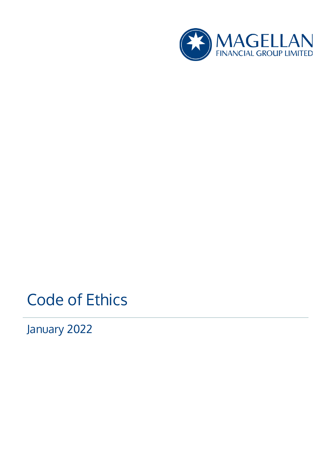

# Code of Ethics

January 2022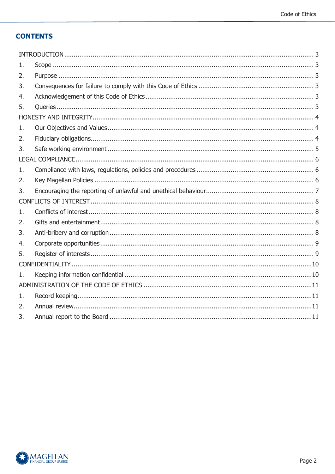# **CONTENTS**

| ı. |  |
|----|--|
| 2. |  |
| 3. |  |
| 4. |  |
| 5. |  |
|    |  |
| 1. |  |
| 2. |  |
| 3. |  |
|    |  |
| 1. |  |
| 2. |  |
|    |  |
| 3. |  |
|    |  |
| 1. |  |
| 2. |  |
| 3. |  |
| 4. |  |
| 5. |  |
|    |  |
| 1. |  |
|    |  |
| 1. |  |
| 2. |  |

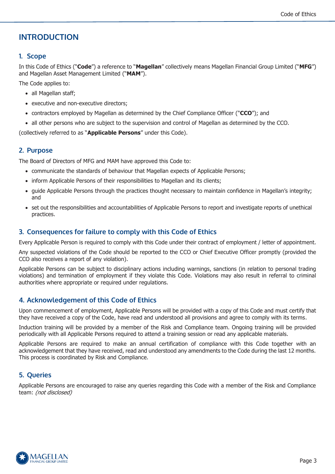# <span id="page-2-0"></span>**INTRODUCTION**

# <span id="page-2-1"></span>**1. Scope**

In this Code of Ethics ("**Code**") a reference to "**Magellan**" collectively means Magellan Financial Group Limited ("**MFG**") and Magellan Asset Management Limited ("**MAM**").

The Code applies to:

- all Magellan staff;
- executive and non-executive directors;
- contractors employed by Magellan as determined by the Chief Compliance Officer ("**CCO**"); and
- all other persons who are subject to the supervision and control of Magellan as determined by the CCO.

(collectively referred to as "**Applicable Persons**" under this Code).

# <span id="page-2-2"></span>**2. Purpose**

The Board of Directors of MFG and MAM have approved this Code to:

- communicate the standards of behaviour that Magellan expects of Applicable Persons;
- inform Applicable Persons of their responsibilities to Magellan and its clients;
- guide Applicable Persons through the practices thought necessary to maintain confidence in Magellan's integrity; and
- set out the responsibilities and accountabilities of Applicable Persons to report and investigate reports of unethical practices.

# <span id="page-2-3"></span>**3. Consequences for failure to comply with this Code of Ethics**

Every Applicable Person is required to comply with this Code under their contract of employment / letter of appointment.

Any suspected violations of the Code should be reported to the CCO or Chief Executive Officer promptly (provided the CCO also receives a report of any violation).

Applicable Persons can be subject to disciplinary actions including warnings, sanctions (in relation to personal trading violations) and termination of employment if they violate this Code. Violations may also result in referral to criminal authorities where appropriate or required under regulations.

# <span id="page-2-4"></span>**4. Acknowledgement of this Code of Ethics**

Upon commencement of employment, Applicable Persons will be provided with a copy of this Code and must certify that they have received a copy of the Code, have read and understood all provisions and agree to comply with its terms.

Induction training will be provided by a member of the Risk and Compliance team. Ongoing training will be provided periodically with all Applicable Persons required to attend a training session or read any applicable materials.

Applicable Persons are required to make an annual certification of compliance with this Code together with an acknowledgement that they have received, read and understood any amendments to the Code during the last 12 months. This process is coordinated by Risk and Compliance.

# <span id="page-2-5"></span>**5. Queries**

Applicable Persons are encouraged to raise any queries regarding this Code with a member of the Risk and Compliance team: (not disclosed)

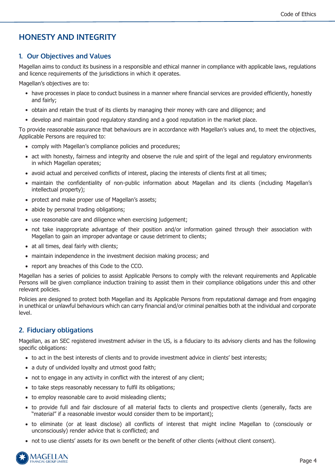# <span id="page-3-0"></span>**HONESTY AND INTEGRITY**

# <span id="page-3-1"></span>**1. Our Objectives and Values**

Magellan aims to conduct its business in a responsible and ethical manner in compliance with applicable laws, regulations and licence requirements of the jurisdictions in which it operates.

Magellan's objectives are to:

- have processes in place to conduct business in a manner where financial services are provided efficiently, honestly and fairly;
- obtain and retain the trust of its clients by managing their money with care and diligence; and
- develop and maintain good regulatory standing and a good reputation in the market place.

To provide reasonable assurance that behaviours are in accordance with Magellan's values and, to meet the objectives, Applicable Persons are required to:

- comply with Magellan's compliance policies and procedures;
- act with honesty, fairness and integrity and observe the rule and spirit of the legal and regulatory environments in which Magellan operates;
- avoid actual and perceived conflicts of interest, placing the interests of clients first at all times;
- maintain the confidentiality of non-public information about Magellan and its clients (including Magellan's intellectual property);
- protect and make proper use of Magellan's assets;
- abide by personal trading obligations;
- use reasonable care and diligence when exercising judgement;
- not take inappropriate advantage of their position and/or information gained through their association with Magellan to gain an improper advantage or cause detriment to clients;
- at all times, deal fairly with clients;
- maintain independence in the investment decision making process; and
- report any breaches of this Code to the CCO.

Magellan has a series of policies to assist Applicable Persons to comply with the relevant requirements and Applicable Persons will be given compliance induction training to assist them in their compliance obligations under this and other relevant policies.

Policies are designed to protect both Magellan and its Applicable Persons from reputational damage and from engaging in unethical or unlawful behaviours which can carry financial and/or criminal penalties both at the individual and corporate level.

# <span id="page-3-2"></span>**2. Fiduciary obligations**

Magellan, as an SEC registered investment adviser in the US, is a fiduciary to its advisory clients and has the following specific obligations:

- to act in the best interests of clients and to provide investment advice in clients' best interests;
- a duty of undivided loyalty and utmost good faith;
- not to engage in any activity in conflict with the interest of any client;
- to take steps reasonably necessary to fulfil its obligations;
- to employ reasonable care to avoid misleading clients;
- to provide full and fair disclosure of all material facts to clients and prospective clients (generally, facts are "material" if a reasonable investor would consider them to be important);
- to eliminate (or at least disclose) all conflicts of interest that might incline Magellan to (consciously or unconsciously) render advice that is conflicted; and
- not to use clients' assets for its own benefit or the benefit of other clients (without client consent).

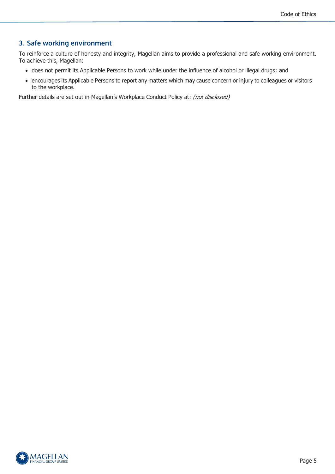# <span id="page-4-0"></span>**3. Safe working environment**

To reinforce a culture of honesty and integrity, Magellan aims to provide a professional and safe working environment. To achieve this, Magellan:

- does not permit its Applicable Persons to work while under the influence of alcohol or illegal drugs; and
- encourages its Applicable Persons to report any matters which may cause concern or injury to colleagues or visitors to the workplace.

Further details are set out in Magellan's Workplace Conduct Policy at: (not disclosed)

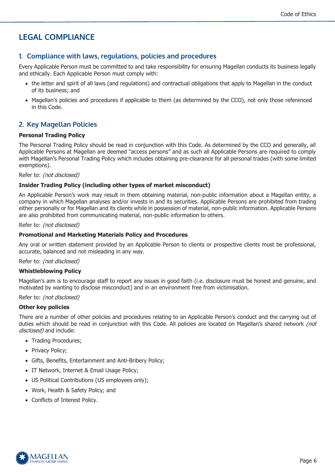# <span id="page-5-0"></span>**LEGAL COMPLIANCE**

### <span id="page-5-1"></span>**1. Compliance with laws, regulations, policies and procedures**

Every Applicable Person must be committed to and take responsibility for ensuring Magellan conducts its business legally and ethically. Each Applicable Person must comply with:

- the letter and spirit of all laws (and regulations) and contractual obligations that apply to Magellan in the conduct of its business; and
- Magellan's policies and procedures if applicable to them (as determined by the CCO), not only those referenced in this Code.

# <span id="page-5-2"></span>**2. Key Magellan Policies**

#### **Personal Trading Policy**

The Personal Trading Policy should be read in conjunction with this Code. As determined by the CCO and generally, all Applicable Persons at Magellan are deemed "access persons" and as such all Applicable Persons are required to comply with Magellan's Personal Trading Policy which includes obtaining pre-clearance for all personal trades (with some limited exemptions).

#### Refer to: (not disclosed)

#### **Insider Trading Policy (including other types of market misconduct)**

An Applicable Person's work may result in them obtaining material, non-public information about a Magellan entity, a company in which Magellan analyses and/or invests in and its securities. Applicable Persons are prohibited from trading either personally or for Magellan and its clients while in possession of material, non-public information. Applicable Persons are also prohibited from communicating material, non-public information to others.

#### Refer to: (not disclosed)

#### **Promotional and Marketing Materials Policy and Procedures**

Any oral or written statement provided by an Applicable Person to clients or prospective clients must be professional, accurate, balanced and not misleading in any way.

Refer to: (not disclosed)

#### **Whistleblowing Policy**

Magellan's aim is to encourage staff to report any issues in good faith (i.e. disclosure must be honest and genuine, and motivated by wanting to disclose misconduct) and in an environment free from victimisation.

Refer to: (not disclosed)

#### **Other key policies**

There are a number of other policies and procedures relating to an Applicable Person's conduct and the carrying out of duties which should be read in conjunction with this Code. All policies are located on Magellan's shared network *(not* disclosed) and include:

- Trading Procedures;
- Privacy Policy;
- Gifts, Benefits, Entertainment and Anti-Bribery Policy;
- IT Network, Internet & Email Usage Policy;
- US Political Contributions (US employees only);
- Work, Health & Safety Policy; and
- Conflicts of Interest Policy.

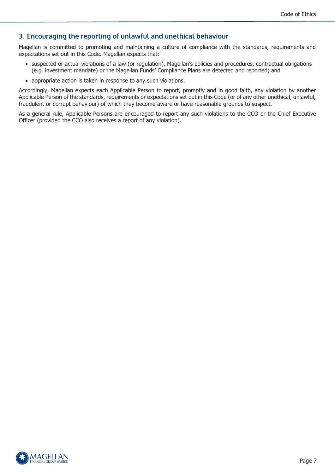# <span id="page-6-0"></span>**3. Encouraging the reporting of unlawful and unethical behaviour**

Magellan is committed to promoting and maintaining a culture of compliance with the standards, requirements and expectations set out in this Code. Magellan expects that:

- suspected or actual violations of a law (or regulation), Magellan's policies and procedures, contractual obligations (e.g. investment mandate) or the Magellan Funds' Compliance Plans are detected and reported; and
- appropriate action is taken in response to any such violations.

Accordingly, Magellan expects each Applicable Person to report, promptly and in good faith, any violation by another Applicable Person of the standards, requirements or expectations set out in this Code (or of any other unethical, unlawful, fraudulent or corrupt behaviour) of which they become aware or have reasonable grounds to suspect.

As a general rule, Applicable Persons are encouraged to report any such violations to the CCO or the Chief Executive Officer (provided the CCO also receives a report of any violation).

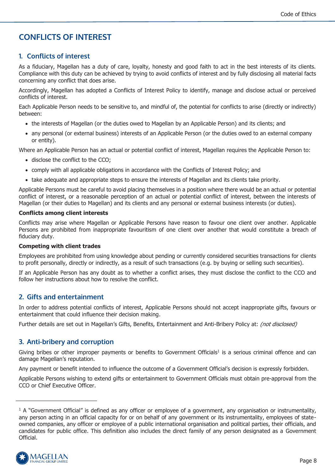# <span id="page-7-0"></span>**CONFLICTS OF INTEREST**

# <span id="page-7-1"></span>**1. Conflicts of interest**

As a fiduciary, Magellan has a duty of care, loyalty, honesty and good faith to act in the best interests of its clients. Compliance with this duty can be achieved by trying to avoid conflicts of interest and by fully disclosing all material facts concerning any conflict that does arise.

Accordingly, Magellan has adopted a Conflicts of Interest Policy to identify, manage and disclose actual or perceived conflicts of interest.

Each Applicable Person needs to be sensitive to, and mindful of, the potential for conflicts to arise (directly or indirectly) between:

- the interests of Magellan (or the duties owed to Magellan by an Applicable Person) and its clients; and
- any personal (or external business) interests of an Applicable Person (or the duties owed to an external company or entity).

Where an Applicable Person has an actual or potential conflict of interest, Magellan requires the Applicable Person to:

- disclose the conflict to the CCO;
- comply with all applicable obligations in accordance with the Conflicts of Interest Policy; and
- take adequate and appropriate steps to ensure the interests of Magellan and its clients take priority.

Applicable Persons must be careful to avoid placing themselves in a position where there would be an actual or potential conflict of interest, or a reasonable perception of an actual or potential conflict of interest, between the interests of Magellan (or their duties to Magellan) and its clients and any personal or external business interests (or duties).

#### **Conflicts among client interests**

Conflicts may arise where Magellan or Applicable Persons have reason to favour one client over another. Applicable Persons are prohibited from inappropriate favouritism of one client over another that would constitute a breach of fiduciary duty.

#### **Competing with client trades**

Employees are prohibited from using knowledge about pending or currently considered securities transactions for clients to profit personally, directly or indirectly, as a result of such transactions (e.g. by buying or selling such securities).

If an Applicable Person has any doubt as to whether a conflict arises, they must disclose the conflict to the CCO and follow her instructions about how to resolve the conflict.

### <span id="page-7-2"></span>**2. Gifts and entertainment**

In order to address potential conflicts of interest, Applicable Persons should not accept inappropriate gifts, favours or entertainment that could influence their decision making.

Further details are set out in Magellan's Gifts, Benefits, Entertainment and Anti-Bribery Policy at: *(not disclosed)* 

### <span id="page-7-3"></span>**3. Anti-bribery and corruption**

Giving bribes or other improper payments or benefits to Government Officials<sup>1</sup> is a serious criminal offence and can damage Magellan's reputation.

Any payment or benefit intended to influence the outcome of a Government Official's decision is expressly forbidden.

Applicable Persons wishing to extend gifts or entertainment to Government Officials must obtain pre-approval from the CCO or Chief Executive Officer.

 $1$  A "Government Official" is defined as any officer or employee of a government, any organisation or instrumentality, any person acting in an official capacity for or on behalf of any government or its instrumentality, employees of stateowned companies, any officer or employee of a public international organisation and political parties, their officials, and candidates for public office. This definition also includes the direct family of any person designated as a Government Official.

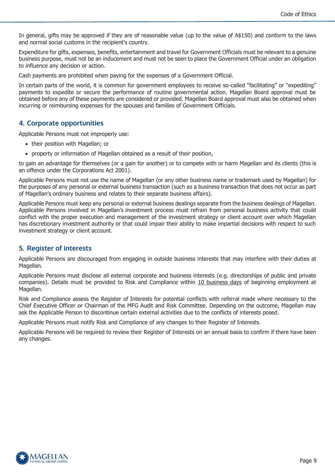In general, gifts may be approved if they are of reasonable value (up to the value of A\$150) and conform to the laws and normal social customs in the recipient's country.

Expenditure for gifts, expenses, benefits, entertainment and travel for Government Officials must be relevant to a genuine business purpose, must not be an inducement and must not be seen to place the Government Official under an obligation to influence any decision or action.

Cash payments are prohibited when paying for the expenses of a Government Official.

In certain parts of the world, it is common for government employees to receive so-called "facilitating" or "expediting" payments to expedite or secure the performance of routine governmental action. Magellan Board approval must be obtained before any of these payments are considered or provided. Magellan Board approval must also be obtained when incurring or reimbursing expenses for the spouses and families of Government Officials.

### <span id="page-8-0"></span>**4. Corporate opportunities**

Applicable Persons must not improperly use:

- their position with Magellan; or
- property or information of Magellan obtained as a result of their position,

to gain an advantage for themselves (or a gain for another) or to compete with or harm Magellan and its clients (this is an offence under the Corporations Act 2001).

Applicable Persons must not use the name of Magellan (or any other business name or trademark used by Magellan) for the purposes of any personal or external business transaction (such as a business transaction that does not occur as part of Magellan's ordinary business and relates to their separate business affairs).

Applicable Persons must keep any personal or external business dealings separate from the business dealings of Magellan. Applicable Persons involved in Magellan's investment process must refrain from personal business activity that could conflict with the proper execution and management of the investment strategy or client account over which Magellan has discretionary investment authority or that could impair their ability to make impartial decisions with respect to such investment strategy or client account.

### <span id="page-8-1"></span>**5. Register of interests**

Applicable Persons are discouraged from engaging in outside business interests that may interfere with their duties at Magellan.

Applicable Persons must disclose all external corporate and business interests (e.g. directorships of public and private companies). Details must be provided to Risk and Compliance within 10 business days of beginning employment at Magellan.

Risk and Compliance assess the Register of Interests for potential conflicts with referral made where necessary to the Chief Executive Officer or Chairman of the MFG Audit and Risk Committee. Depending on the outcome, Magellan may ask the Applicable Person to discontinue certain external activities due to the conflicts of interests posed.

Applicable Persons must notify Risk and Compliance of any changes to their Register of Interests.

Applicable Persons will be required to review their Register of Interests on an annual basis to confirm if there have been any changes.

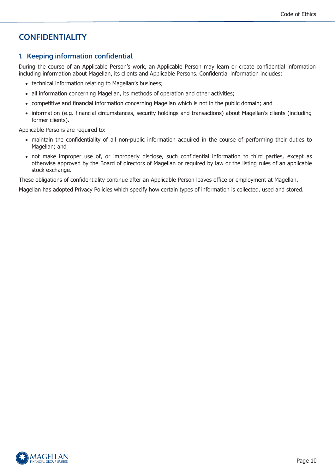# <span id="page-9-0"></span>**CONFIDENTIALITY**

# <span id="page-9-1"></span>**1. Keeping information confidential**

During the course of an Applicable Person's work, an Applicable Person may learn or create confidential information including information about Magellan, its clients and Applicable Persons. Confidential information includes:

- technical information relating to Magellan's business;
- all information concerning Magellan, its methods of operation and other activities;
- competitive and financial information concerning Magellan which is not in the public domain; and
- information (e.g. financial circumstances, security holdings and transactions) about Magellan's clients (including former clients).

Applicable Persons are required to:

- maintain the confidentiality of all non-public information acquired in the course of performing their duties to Magellan; and
- not make improper use of, or improperly disclose, such confidential information to third parties, except as otherwise approved by the Board of directors of Magellan or required by law or the listing rules of an applicable stock exchange.

These obligations of confidentiality continue after an Applicable Person leaves office or employment at Magellan.

Magellan has adopted Privacy Policies which specify how certain types of information is collected, used and stored.